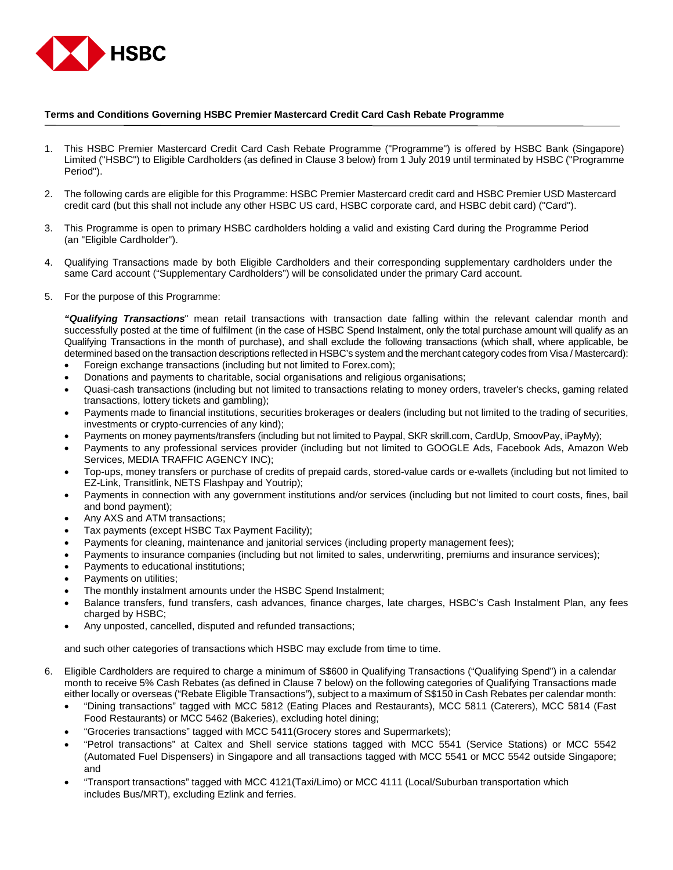

## **Terms and Conditions Governing HSBC Premier Mastercard Credit Card Cash Rebate Programme**

- 1. This HSBC Premier Mastercard Credit Card Cash Rebate Programme ("Programme") is offered by HSBC Bank (Singapore) Limited ("HSBC") to Eligible Cardholders (as defined in Clause 3 below) from 1 July 2019 until terminated by HSBC ("Programme Period").
- 2. The following cards are eligible for this Programme: HSBC Premier Mastercard credit card and HSBC Premier USD Mastercard credit card (but this shall not include any other HSBC US card, HSBC corporate card, and HSBC debit card) ("Card").
- 3. This Programme is open to primary HSBC cardholders holding a valid and existing Card during the Programme Period (an "Eligible Cardholder").
- 4. Qualifying Transactions made by both Eligible Cardholders and their corresponding supplementary cardholders under the same Card account ("Supplementary Cardholders") will be consolidated under the primary Card account.
- 5. For the purpose of this Programme:

*"Qualifying Transactions*" mean retail transactions with transaction date falling within the relevant calendar month and successfully posted at the time of fulfilment (in the case of HSBC Spend Instalment, only the total purchase amount will qualify as an Qualifying Transactions in the month of purchase), and shall exclude the following transactions (which shall, where applicable, be determined based on the transaction descriptions reflected in HSBC's system and the merchant category codes from Visa / Mastercard):

- Foreign exchange transactions (including but not limited to Forex.com);
- Donations and payments to charitable, social organisations and religious organisations;
- Quasi-cash transactions (including but not limited to transactions relating to money orders, traveler's checks, gaming related transactions, lottery tickets and gambling);
- Payments made to financial institutions, securities brokerages or dealers (including but not limited to the trading of securities, investments or crypto-currencies of any kind);
- Payments on money payments/transfers (including but not limited to Paypal, SKR skrill.com, CardUp, SmoovPay, iPayMy);
- Payments to any professional services provider (including but not limited to GOOGLE Ads, Facebook Ads, Amazon Web Services, MEDIA TRAFFIC AGENCY INC);
- Top-ups, money transfers or purchase of credits of prepaid cards, stored-value cards or e-wallets (including but not limited to EZ-Link, Transitlink, NETS Flashpay and Youtrip);
- Payments in connection with any government institutions and/or services (including but not limited to court costs, fines, bail and bond payment);
- Any AXS and ATM transactions;
- Tax payments (except HSBC Tax Payment Facility);
- Payments for cleaning, maintenance and janitorial services (including property management fees);
- Payments to insurance companies (including but not limited to sales, underwriting, premiums and insurance services);
- Payments to educational institutions;
- Payments on utilities;
- The monthly instalment amounts under the HSBC Spend Instalment;
- Balance transfers, fund transfers, cash advances, finance charges, late charges, HSBC's Cash Instalment Plan, any fees charged by HSBC;
- Any unposted, cancelled, disputed and refunded transactions;

and such other categories of transactions which HSBC may exclude from time to time.

- 6. Eligible Cardholders are required to charge a minimum of S\$600 in Qualifying Transactions ("Qualifying Spend") in a calendar month to receive 5% Cash Rebates (as defined in Clause 7 below) on the following categories of Qualifying Transactions made either locally or overseas ("Rebate Eligible Transactions"), subject to a maximum of S\$150 in Cash Rebates per calendar month:
	- "Dining transactions" tagged with MCC 5812 (Eating Places and Restaurants), MCC 5811 (Caterers), MCC 5814 (Fast Food Restaurants) or MCC 5462 (Bakeries), excluding hotel dining;
	- "Groceries transactions" tagged with MCC 5411(Grocery stores and Supermarkets);
	- "Petrol transactions" at Caltex and Shell service stations tagged with MCC 5541 (Service Stations) or MCC 5542 (Automated Fuel Dispensers) in Singapore and all transactions tagged with MCC 5541 or MCC 5542 outside Singapore; and
	- "Transport transactions" tagged with MCC 4121(Taxi/Limo) or MCC 4111 (Local/Suburban transportation which includes Bus/MRT), excluding Ezlink and ferries.